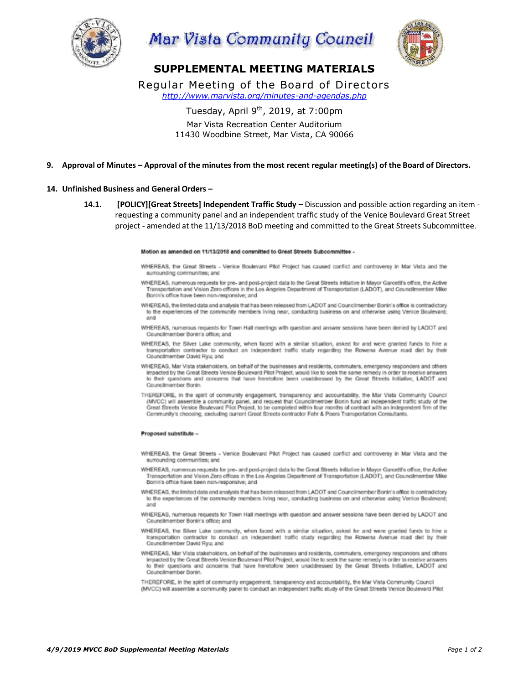





# **SUPPLEMENTAL MEETING MATERIALS**

Regular Meeting of the Board of Directors *http://www.marvista.org/minutes-and-agendas.php*

Tuesday, April 9<sup>th</sup>, 2019, at 7:00pm

Mar Vista Recreation Center Auditorium 11430 Woodbine Street, Mar Vista, CA 90066

### **9. Approval of Minutes – Approval of the minutes from the most recent regular meeting(s) of the Board of Directors.**

#### **14. Unfinished Business and General Orders –**

**14.1. [POLICY][Great Streets] Independent Traffic Study** – Discussion and possible action regarding an item requesting a community panel and an independent traffic study of the Venice Boulevard Great Street project - amended at the 11/13/2018 BoD meeting and committed to the Great Streets Subcommittee.

Motion as amended on 11/13/2018 and committed to Great Streets Subcommittee -

- WHEREAS, the Great Streets Venice Boulevard Pilot Project has caused conflict and controversy in Mar Vista and the surrounding communities; and
- WHEREAS, numerous requests for pre- and post-project data to the Great Streets Initiative in Mayor Garcettl's office, the Active Transportation and Vision Zero offices in the Los Angeles Department of Transportation (LADOT), and Councilmember Mike Bonin's office have been non-responsive: and
- WHEREAS, the limited data and analysis that has been released from LADOT and Councilmember Bonin's office is contradictory to the experiences of the community members living near, conducting business on and otherwise using Venice Boulevard; sind
- WHEREAS, numerous requests for Town Hall meetings with question and answer sessions have been denied by LADOT and Councilmember Bonin's office; and
- WHEREAS, the Silver Lake community, when faced with a similar situation, asked for and were granted funds to hire a transportation contractor to conduct an independent traffic study regarding the Rowena Avenue road diet by their Councilmember David Ryu: and
- WHEREAS, Mar Vista stakeholders, on behalf of the businesses and residents, commuters, emergency responders and others impacted by the Great Streets Venice Boulevard Pilot Project, would like to seek the same remedy in order to receive answers to their questions and concerns that have heretofore been unaddressed by the Great Streets Initiative, LADOT and Councilmember Bonin.
- THEREFORE, in the spirit of community engagement, transparency and accountability, the Mar Vista Community Council (MVCC) will assemble a community panel, and request that Councilmember Bonin fund an independent traffic study of the Great Streets Venice Boulevard Pilot Project, to be completed within four months of contract with an independent firm of the Community's choosing, excluding current Great Streets contractor Fehr & Peers Transportation Consultants.

#### Proposed substitute -

- WHEREAS, the Great Streets Venice Boulevard Pilot Project has caused conflict and controversy in Mar Vista and the surrounding communities; and
- WHEREAS, numerous requests for pre- and post-project data to the Great Streets Initiative in Mayor Garcetti's office, the Active Transportation and Vision Zero offices in the Los Angeles Department of Transportation (LADOT), and Councilmember Mike Bonin's office have been non-responsive; and
- WHEREAS, the limited data and analysis that has been released from LADOT and Councilmember Bonin's office is contradictory to the experiences of the community members living near, conducting business on and otherwise using Venice Boulevard; and
- WHEREAS, numerous requests for Town Hall meetings with question and answer sessions have been denied by LADOT and Councilmember Bonin's office; and
- WHEREAS, the Silver Lake community, when faced with a similar situation, asked for and were granted funds to hire a transportation contractor to conduct an independent traffic study regarding the Rowena Avenue road diet by their Councilmember David Ryu; and
- WHEREAS, Mar Vista stakeholders, on behalf of the businesses and residents, commuters, emergency responders and others<br>Impacted by the Great Streets Venice Boulevard Pilot Project, would like to seek the same remedy in ord to their questions and concerns that have heretofore been unaddressed by the Great Streets Initiative, LADOT and Councilmember Bonin.
- THEREFORE, in the spirit of community engagement, transparency and accountability, the Mar Vista Community Council (MVCC) will assemble a community panel to conduct an independent traffic study of the Great Streets Venice Boulevard Pilot